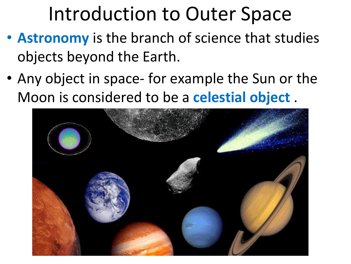## Introduction to Outer Space

- **Astronomy** is the branch of science that studies objects beyond the Earth.
- Any object in space- for example the Sun or the Moon is considered to be a **celestial object** .

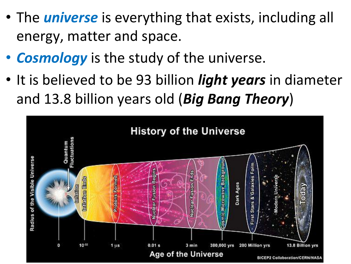- The *universe* is everything that exists, including all energy, matter and space.
- *Cosmology* is the study of the universe.
- It is believed to be 93 billion *light years* in diameter and 13.8 billion years old (*Big Bang Theory*)

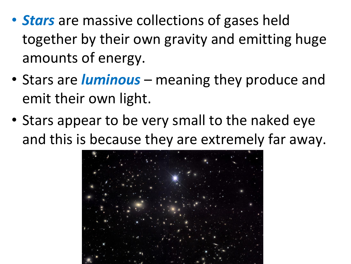- *Stars* are massive collections of gases held together by their own gravity and emitting huge amounts of energy.
- Stars are *luminous* meaning they produce and emit their own light.
- Stars appear to be very small to the naked eye and this is because they are extremely far away.

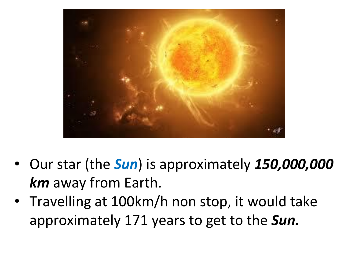

- Our star (the *Sun*) is approximately *150,000,000 km* away from Earth.
- Travelling at 100km/h non stop, it would take approximately 171 years to get to the *Sun.*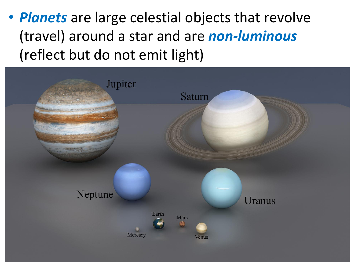• *Planets* are large celestial objects that revolve (travel) around a star and are *non-luminous* (reflect but do not emit light)

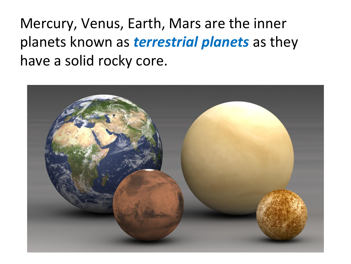Mercury, Venus, Earth, Mars are the inner planets known as *terrestrial planets* as they have a solid rocky core.

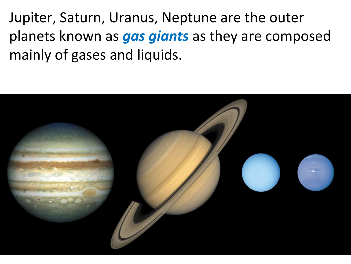Jupiter, Saturn, Uranus, Neptune are the outer planets known as *gas giants* as they are composed mainly of gases and liquids.

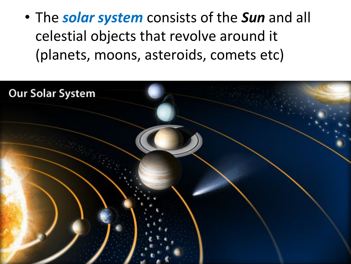• The *solar system* consists of the *Sun* and all celestial objects that revolve around it (planets, moons, asteroids, comets etc)

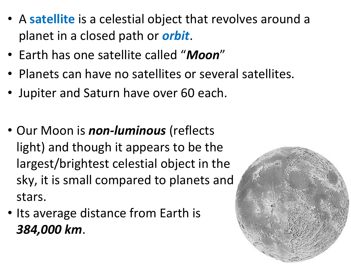- A **satellite** is a celestial object that revolves around a planet in a closed path or *orbit*.
- Earth has one satellite called "*Moon*"
- Planets can have no satellites or several satellites.
- Jupiter and Saturn have over 60 each.
- Our Moon is *non-luminous* (reflects light) and though it appears to be the largest/brightest celestial object in the sky, it is small compared to planets and stars.
- Its average distance from Earth is *384,000 km*.